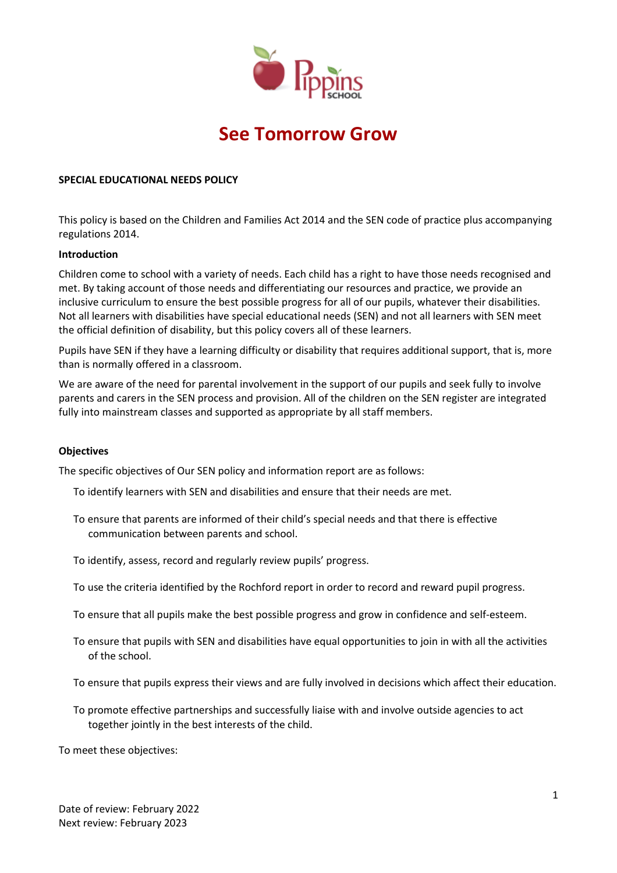

# **See Tomorrow Grow**

### **SPECIAL EDUCATIONAL NEEDS POLICY**

This policy is based on the Children and Families Act 2014 and the SEN code of practice plus accompanying regulations 2014.

#### **Introduction**

Children come to school with a variety of needs. Each child has a right to have those needs recognised and met. By taking account of those needs and differentiating our resources and practice, we provide an inclusive curriculum to ensure the best possible progress for all of our pupils, whatever their disabilities. Not all learners with disabilities have special educational needs (SEN) and not all learners with SEN meet the official definition of disability, but this policy covers all of these learners.

Pupils have SEN if they have a learning difficulty or disability that requires additional support, that is, more than is normally offered in a classroom.

We are aware of the need for parental involvement in the support of our pupils and seek fully to involve parents and carers in the SEN process and provision. All of the children on the SEN register are integrated fully into mainstream classes and supported as appropriate by all staff members.

#### **Objectives**

The specific objectives of Our SEN policy and information report are as follows:

- To identify learners with SEN and disabilities and ensure that their needs are met.
- To ensure that parents are informed of their child's special needs and that there is effective communication between parents and school.
- To identify, assess, record and regularly review pupils' progress.
- To use the criteria identified by the Rochford report in order to record and reward pupil progress.
- To ensure that all pupils make the best possible progress and grow in confidence and self-esteem.
- To ensure that pupils with SEN and disabilities have equal opportunities to join in with all the activities of the school.
- To ensure that pupils express their views and are fully involved in decisions which affect their education.
- To promote effective partnerships and successfully liaise with and involve outside agencies to act together jointly in the best interests of the child.

To meet these objectives: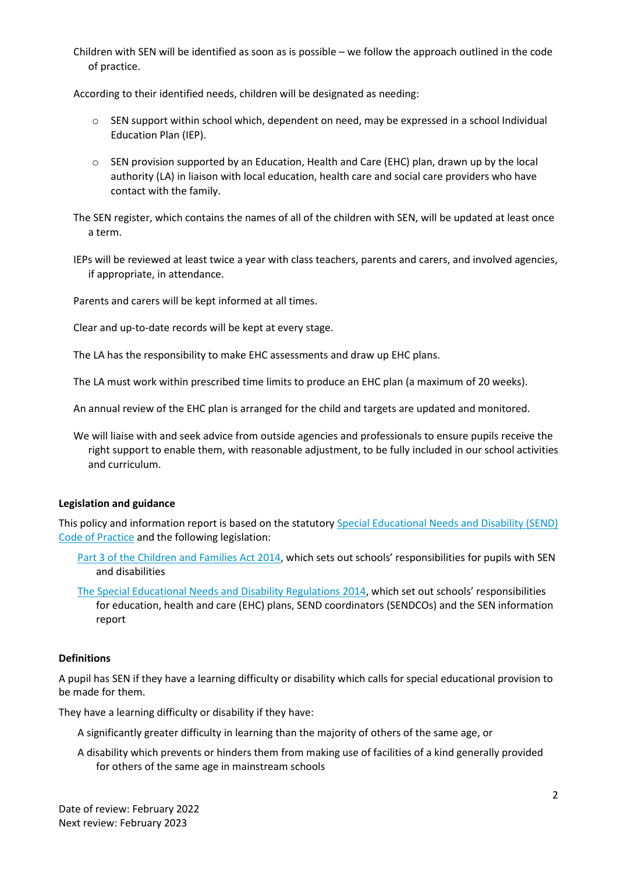Children with SEN will be identified as soon as is possible – we follow the approach outlined in the code of practice.

According to their identified needs, children will be designated as needing:

- $\circ$  SEN support within school which, dependent on need, may be expressed in a school Individual Education Plan (IEP).
- $\circ$  SEN provision supported by an Education, Health and Care (EHC) plan, drawn up by the local authority (LA) in liaison with local education, health care and social care providers who have contact with the family.

The SEN register, which contains the names of all of the children with SEN, will be updated at least once a term.

IEPs will be reviewed at least twice a year with class teachers, parents and carers, and involved agencies, if appropriate, in attendance.

Parents and carers will be kept informed at all times.

Clear and up-to-date records will be kept at every stage.

The LA has the responsibility to make EHC assessments and draw up EHC plans.

The LA must work within prescribed time limits to produce an EHC plan (a maximum of 20 weeks).

An annual review of the EHC plan is arranged for the child and targets are updated and monitored.

We will liaise with and seek advice from outside agencies and professionals to ensure pupils receive the right support to enable them, with reasonable adjustment, to be fully included in our school activities and curriculum.

### **Legislation and guidance**

This policy and information report is based on the statutory [Special Educational Needs and Disability \(SEND\)](https://www.gov.uk/government/uploads/system/uploads/attachment_data/file/398815/SEND_Code_of_Practice_January_2015.pdf)  [Code of Practice](https://www.gov.uk/government/uploads/system/uploads/attachment_data/file/398815/SEND_Code_of_Practice_January_2015.pdf) and the following legislation:

- [Part 3 of the Children and Families Act 2014](http://www.legislation.gov.uk/ukpga/2014/6/part/3), which sets out schools' responsibilities for pupils with SEN and disabilities
- [The Special Educational Needs and Disability Regulations 2014](http://www.legislation.gov.uk/uksi/2014/1530/contents/made), which set out schools' responsibilities for education, health and care (EHC) plans, SEND coordinators (SENDCOs) and the SEN information report

#### **Definitions**

A pupil has SEN if they have a learning difficulty or disability which calls for special educational provision to be made for them.

They have a learning difficulty or disability if they have:

- A significantly greater difficulty in learning than the majority of others of the same age, or
- A disability which prevents or hinders them from making use of facilities of a kind generally provided for others of the same age in mainstream schools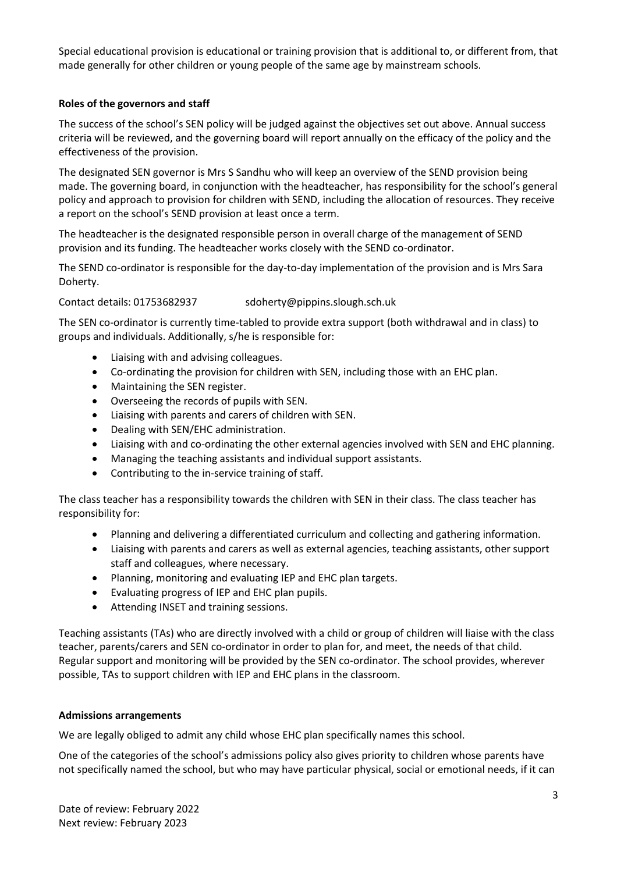Special educational provision is educational or training provision that is additional to, or different from, that made generally for other children or young people of the same age by mainstream schools.

# **Roles of the governors and staff**

The success of the school's SEN policy will be judged against the objectives set out above. Annual success criteria will be reviewed, and the governing board will report annually on the efficacy of the policy and the effectiveness of the provision.

The designated SEN governor is Mrs S Sandhu who will keep an overview of the SEND provision being made. The governing board, in conjunction with the headteacher, has responsibility for the school's general policy and approach to provision for children with SEND, including the allocation of resources. They receive a report on the school's SEND provision at least once a term.

The headteacher is the designated responsible person in overall charge of the management of SEND provision and its funding. The headteacher works closely with the SEND co-ordinator.

The SEND co-ordinator is responsible for the day-to-day implementation of the provision and is Mrs Sara Doherty.

Contact details: 01753682937 sdoherty@pippins.slough.sch.uk

The SEN co-ordinator is currently time-tabled to provide extra support (both withdrawal and in class) to groups and individuals. Additionally, s/he is responsible for:

- Liaising with and advising colleagues.
- Co-ordinating the provision for children with SEN, including those with an EHC plan.
- Maintaining the SEN register.
- Overseeing the records of pupils with SEN.
- Liaising with parents and carers of children with SEN.
- Dealing with SEN/EHC administration.
- Liaising with and co-ordinating the other external agencies involved with SEN and EHC planning.
- Managing the teaching assistants and individual support assistants.
- Contributing to the in-service training of staff.

The class teacher has a responsibility towards the children with SEN in their class. The class teacher has responsibility for:

- Planning and delivering a differentiated curriculum and collecting and gathering information.
- Liaising with parents and carers as well as external agencies, teaching assistants, other support staff and colleagues, where necessary.
- Planning, monitoring and evaluating IEP and EHC plan targets.
- Evaluating progress of IEP and EHC plan pupils.
- Attending INSET and training sessions.

Teaching assistants (TAs) who are directly involved with a child or group of children will liaise with the class teacher, parents/carers and SEN co-ordinator in order to plan for, and meet, the needs of that child. Regular support and monitoring will be provided by the SEN co-ordinator. The school provides, wherever possible, TAs to support children with IEP and EHC plans in the classroom.

### **Admissions arrangements**

We are legally obliged to admit any child whose EHC plan specifically names this school.

One of the categories of the school's admissions policy also gives priority to children whose parents have not specifically named the school, but who may have particular physical, social or emotional needs, if it can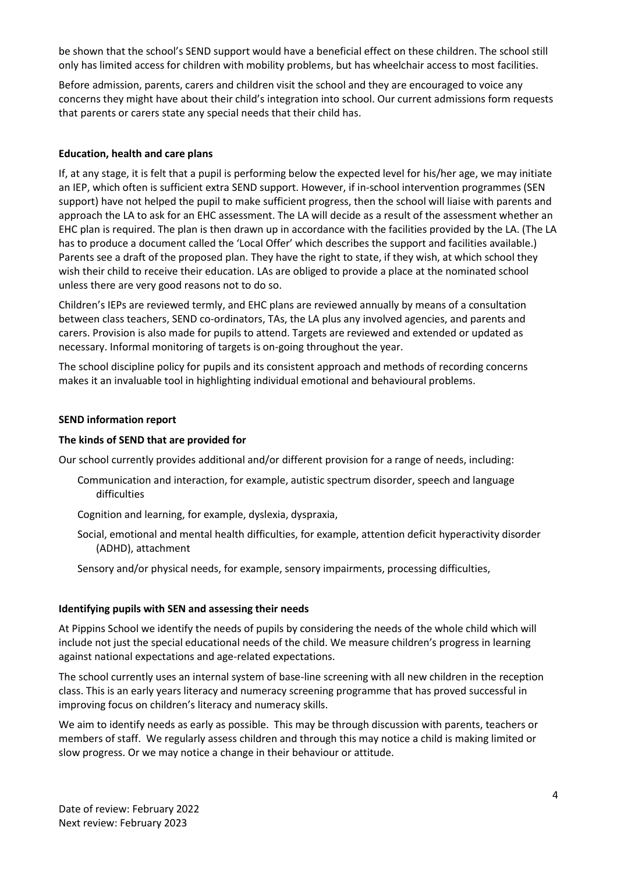be shown that the school's SEND support would have a beneficial effect on these children. The school still only has limited access for children with mobility problems, but has wheelchair access to most facilities.

Before admission, parents, carers and children visit the school and they are encouraged to voice any concerns they might have about their child's integration into school. Our current admissions form requests that parents or carers state any special needs that their child has.

## **Education, health and care plans**

If, at any stage, it is felt that a pupil is performing below the expected level for his/her age, we may initiate an IEP, which often is sufficient extra SEND support. However, if in-school intervention programmes (SEN support) have not helped the pupil to make sufficient progress, then the school will liaise with parents and approach the LA to ask for an EHC assessment. The LA will decide as a result of the assessment whether an EHC plan is required. The plan is then drawn up in accordance with the facilities provided by the LA. (The LA has to produce a document called the 'Local Offer' which describes the support and facilities available.) Parents see a draft of the proposed plan. They have the right to state, if they wish, at which school they wish their child to receive their education. LAs are obliged to provide a place at the nominated school unless there are very good reasons not to do so.

Children's IEPs are reviewed termly, and EHC plans are reviewed annually by means of a consultation between class teachers, SEND co-ordinators, TAs, the LA plus any involved agencies, and parents and carers. Provision is also made for pupils to attend. Targets are reviewed and extended or updated as necessary. Informal monitoring of targets is on-going throughout the year.

The school discipline policy for pupils and its consistent approach and methods of recording concerns makes it an invaluable tool in highlighting individual emotional and behavioural problems.

#### **SEND information report**

#### **The kinds of SEND that are provided for**

Our school currently provides additional and/or different provision for a range of needs, including:

- Communication and interaction, for example, autistic spectrum disorder, speech and language difficulties
- Cognition and learning, for example, dyslexia, dyspraxia,
- Social, emotional and mental health difficulties, for example, attention deficit hyperactivity disorder (ADHD), attachment
- Sensory and/or physical needs, for example, sensory impairments, processing difficulties,

#### **Identifying pupils with SEN and assessing their needs**

At Pippins School we identify the needs of pupils by considering the needs of the whole child which will include not just the special educational needs of the child. We measure children's progress in learning against national expectations and age-related expectations.

The school currently uses an internal system of base-line screening with all new children in the reception class. This is an early years literacy and numeracy screening programme that has proved successful in improving focus on children's literacy and numeracy skills.

We aim to identify needs as early as possible. This may be through discussion with parents, teachers or members of staff. We regularly assess children and through this may notice a child is making limited or slow progress. Or we may notice a change in their behaviour or attitude.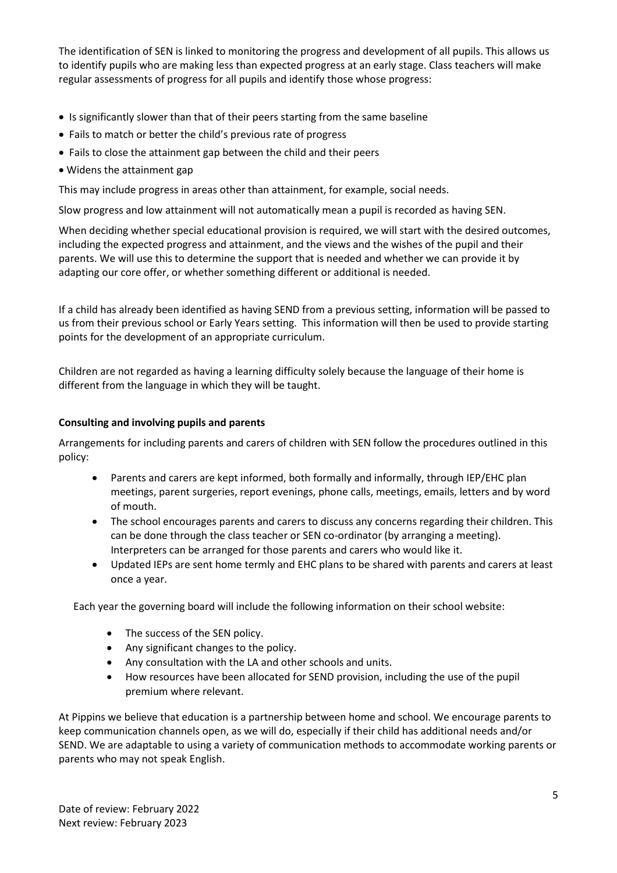The identification of SEN is linked to monitoring the progress and development of all pupils. This allows us to identify pupils who are making less than expected progress at an early stage. Class teachers will make regular assessments of progress for all pupils and identify those whose progress:

- Is significantly slower than that of their peers starting from the same baseline
- Fails to match or better the child's previous rate of progress
- Fails to close the attainment gap between the child and their peers
- Widens the attainment gap

This may include progress in areas other than attainment, for example, social needs.

Slow progress and low attainment will not automatically mean a pupil is recorded as having SEN.

When deciding whether special educational provision is required, we will start with the desired outcomes, including the expected progress and attainment, and the views and the wishes of the pupil and their parents. We will use this to determine the support that is needed and whether we can provide it by adapting our core offer, or whether something different or additional is needed.

If a child has already been identified as having SEND from a previous setting, information will be passed to us from their previous school or Early Years setting. This information will then be used to provide starting points for the development of an appropriate curriculum.

Children are not regarded as having a learning difficulty solely because the language of their home is different from the language in which they will be taught.

## **Consulting and involving pupils and parents**

Arrangements for including parents and carers of children with SEN follow the procedures outlined in this policy:

- Parents and carers are kept informed, both formally and informally, through IEP/EHC plan meetings, parent surgeries, report evenings, phone calls, meetings, emails, letters and by word of mouth.
- The school encourages parents and carers to discuss any concerns regarding their children. This can be done through the class teacher or SEN co-ordinator (by arranging a meeting). Interpreters can be arranged for those parents and carers who would like it.
- Updated IEPs are sent home termly and EHC plans to be shared with parents and carers at least once a year.

Each year the governing board will include the following information on their school website:

- The success of the SEN policy.
- Any significant changes to the policy.
- Any consultation with the LA and other schools and units.
- How resources have been allocated for SEND provision, including the use of the pupil premium where relevant.

At Pippins we believe that education is a partnership between home and school. We encourage parents to keep communication channels open, as we will do, especially if their child has additional needs and/or SEND. We are adaptable to using a variety of communication methods to accommodate working parents or parents who may not speak English.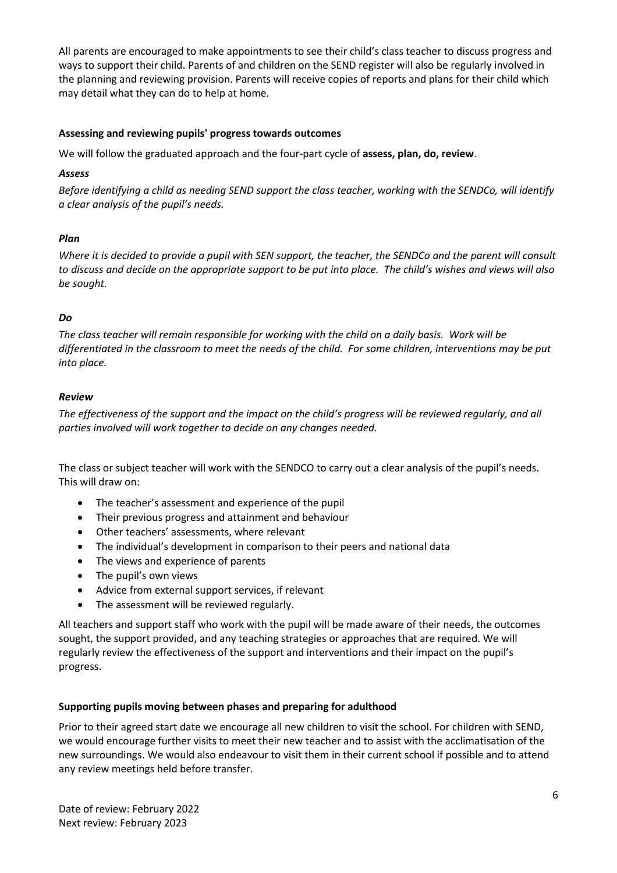All parents are encouraged to make appointments to see their child's class teacher to discuss progress and ways to support their child. Parents of and children on the SEND register will also be regularly involved in the planning and reviewing provision. Parents will receive copies of reports and plans for their child which may detail what they can do to help at home.

# **Assessing and reviewing pupils' progress towards outcomes**

We will follow the graduated approach and the four-part cycle of **assess, plan, do, review**.

## *Assess*

*Before identifying a child as needing SEND support the class teacher, working with the SENDCo, will identify a clear analysis of the pupil's needs.*

# *Plan*

*Where it is decided to provide a pupil with SEN support, the teacher, the SENDCo and the parent will consult to discuss and decide on the appropriate support to be put into place. The child's wishes and views will also be sought.*

# *Do*

*The class teacher will remain responsible for working with the child on a daily basis. Work will be differentiated in the classroom to meet the needs of the child. For some children, interventions may be put into place.*

## *Review*

*The effectiveness of the support and the impact on the child's progress will be reviewed regularly, and all parties involved will work together to decide on any changes needed.*

The class or subject teacher will work with the SENDCO to carry out a clear analysis of the pupil's needs. This will draw on:

- The teacher's assessment and experience of the pupil
- Their previous progress and attainment and behaviour
- Other teachers' assessments, where relevant
- The individual's development in comparison to their peers and national data
- The views and experience of parents
- The pupil's own views
- Advice from external support services, if relevant
- The assessment will be reviewed regularly.

All teachers and support staff who work with the pupil will be made aware of their needs, the outcomes sought, the support provided, and any teaching strategies or approaches that are required. We will regularly review the effectiveness of the support and interventions and their impact on the pupil's progress.

### **Supporting pupils moving between phases and preparing for adulthood**

Prior to their agreed start date we encourage all new children to visit the school. For children with SEND, we would encourage further visits to meet their new teacher and to assist with the acclimatisation of the new surroundings. We would also endeavour to visit them in their current school if possible and to attend any review meetings held before transfer.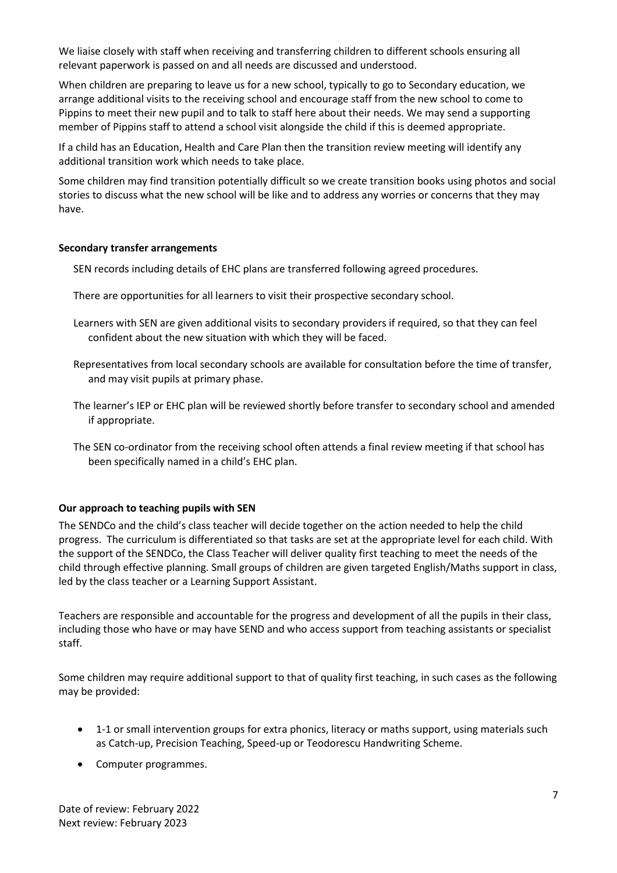We liaise closely with staff when receiving and transferring children to different schools ensuring all relevant paperwork is passed on and all needs are discussed and understood.

When children are preparing to leave us for a new school, typically to go to Secondary education, we arrange additional visits to the receiving school and encourage staff from the new school to come to Pippins to meet their new pupil and to talk to staff here about their needs. We may send a supporting member of Pippins staff to attend a school visit alongside the child if this is deemed appropriate.

If a child has an Education, Health and Care Plan then the transition review meeting will identify any additional transition work which needs to take place.

Some children may find transition potentially difficult so we create transition books using photos and social stories to discuss what the new school will be like and to address any worries or concerns that they may have.

### **Secondary transfer arrangements**

SEN records including details of EHC plans are transferred following agreed procedures.

- There are opportunities for all learners to visit their prospective secondary school.
- Learners with SEN are given additional visits to secondary providers if required, so that they can feel confident about the new situation with which they will be faced.
- Representatives from local secondary schools are available for consultation before the time of transfer, and may visit pupils at primary phase.
- The learner's IEP or EHC plan will be reviewed shortly before transfer to secondary school and amended if appropriate.
- The SEN co-ordinator from the receiving school often attends a final review meeting if that school has been specifically named in a child's EHC plan.

# **Our approach to teaching pupils with SEN**

The SENDCo and the child's class teacher will decide together on the action needed to help the child progress. The curriculum is differentiated so that tasks are set at the appropriate level for each child. With the support of the SENDCo, the Class Teacher will deliver quality first teaching to meet the needs of the child through effective planning. Small groups of children are given targeted English/Maths support in class, led by the class teacher or a Learning Support Assistant.

Teachers are responsible and accountable for the progress and development of all the pupils in their class, including those who have or may have SEND and who access support from teaching assistants or specialist staff.

Some children may require additional support to that of quality first teaching, in such cases as the following may be provided:

- 1-1 or small intervention groups for extra phonics, literacy or maths support, using materials such as Catch-up, Precision Teaching, Speed-up or Teodorescu Handwriting Scheme.
- Computer programmes.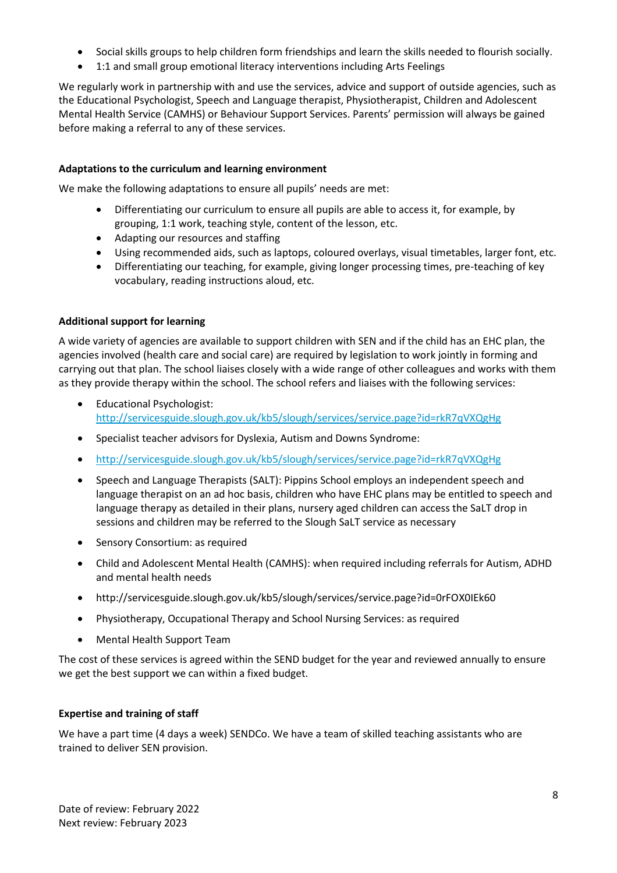- Social skills groups to help children form friendships and learn the skills needed to flourish socially.
- 1:1 and small group emotional literacy interventions including Arts Feelings

We regularly work in partnership with and use the services, advice and support of outside agencies, such as the Educational Psychologist, Speech and Language therapist, Physiotherapist, Children and Adolescent Mental Health Service (CAMHS) or Behaviour Support Services. Parents' permission will always be gained before making a referral to any of these services.

# **Adaptations to the curriculum and learning environment**

We make the following adaptations to ensure all pupils' needs are met:

- Differentiating our curriculum to ensure all pupils are able to access it, for example, by grouping, 1:1 work, teaching style, content of the lesson, etc.
- Adapting our resources and staffing
- Using recommended aids, such as laptops, coloured overlays, visual timetables, larger font, etc.
- Differentiating our teaching, for example, giving longer processing times, pre-teaching of key vocabulary, reading instructions aloud, etc.

# **Additional support for learning**

A wide variety of agencies are available to support children with SEN and if the child has an EHC plan, the agencies involved (health care and social care) are required by legislation to work jointly in forming and carrying out that plan. The school liaises closely with a wide range of other colleagues and works with them as they provide therapy within the school. The school refers and liaises with the following services:

- Educational Psychologist: <http://servicesguide.slough.gov.uk/kb5/slough/services/service.page?id=rkR7qVXQgHg>
- Specialist teacher advisors for Dyslexia, Autism and Downs Syndrome:
- <http://servicesguide.slough.gov.uk/kb5/slough/services/service.page?id=rkR7qVXQgHg>
- Speech and Language Therapists (SALT): Pippins School employs an independent speech and language therapist on an ad hoc basis, children who have EHC plans may be entitled to speech and language therapy as detailed in their plans, nursery aged children can access the SaLT drop in sessions and children may be referred to the Slough SaLT service as necessary
- Sensory Consortium: as required
- Child and Adolescent Mental Health (CAMHS): when required including referrals for Autism, ADHD and mental health needs
- http://servicesguide.slough.gov.uk/kb5/slough/services/service.page?id=0rFOX0IEk60
- Physiotherapy, Occupational Therapy and School Nursing Services: as required
- Mental Health Support Team

The cost of these services is agreed within the SEND budget for the year and reviewed annually to ensure we get the best support we can within a fixed budget.

# **Expertise and training of staff**

We have a part time (4 days a week) SENDCo. We have a team of skilled teaching assistants who are trained to deliver SEN provision.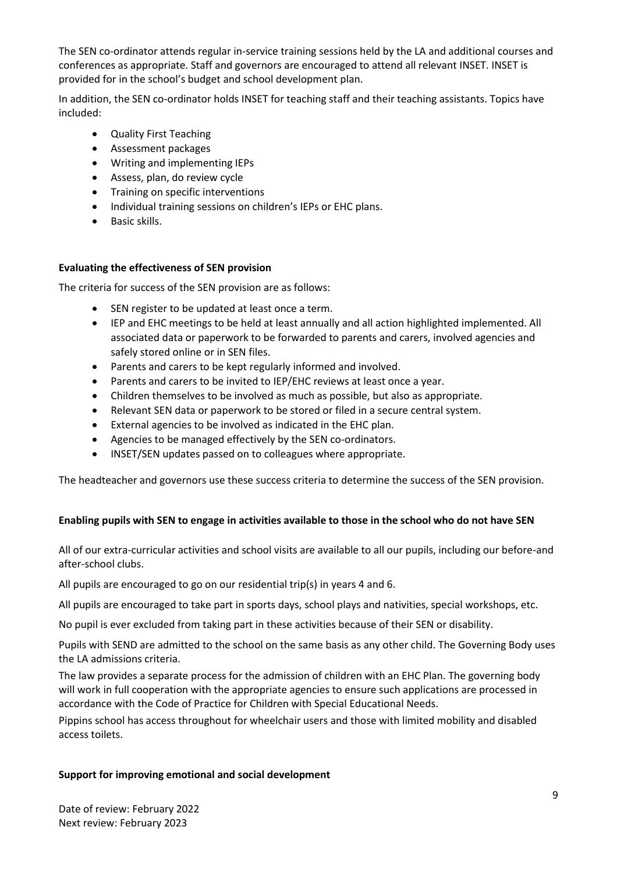The SEN co-ordinator attends regular in-service training sessions held by the LA and additional courses and conferences as appropriate. Staff and governors are encouraged to attend all relevant INSET. INSET is provided for in the school's budget and school development plan.

In addition, the SEN co-ordinator holds INSET for teaching staff and their teaching assistants. Topics have included:

- Quality First Teaching
- Assessment packages
- Writing and implementing IEPs
- Assess, plan, do review cycle
- Training on specific interventions
- Individual training sessions on children's IEPs or EHC plans.
- Basic skills.

# **Evaluating the effectiveness of SEN provision**

The criteria for success of the SEN provision are as follows:

- SEN register to be updated at least once a term.
- IEP and EHC meetings to be held at least annually and all action highlighted implemented. All associated data or paperwork to be forwarded to parents and carers, involved agencies and safely stored online or in SEN files.
- Parents and carers to be kept regularly informed and involved.
- Parents and carers to be invited to IEP/EHC reviews at least once a year.
- Children themselves to be involved as much as possible, but also as appropriate.
- Relevant SEN data or paperwork to be stored or filed in a secure central system.
- External agencies to be involved as indicated in the EHC plan.
- Agencies to be managed effectively by the SEN co-ordinators.
- INSET/SEN updates passed on to colleagues where appropriate.

The headteacher and governors use these success criteria to determine the success of the SEN provision.

# **Enabling pupils with SEN to engage in activities available to those in the school who do not have SEN**

All of our extra-curricular activities and school visits are available to all our pupils, including our before-and after-school clubs.

All pupils are encouraged to go on our residential trip(s) in years 4 and 6.

All pupils are encouraged to take part in sports days, school plays and nativities, special workshops, etc.

No pupil is ever excluded from taking part in these activities because of their SEN or disability.

Pupils with SEND are admitted to the school on the same basis as any other child. The Governing Body uses the LA admissions criteria.

The law provides a separate process for the admission of children with an EHC Plan. The governing body will work in full cooperation with the appropriate agencies to ensure such applications are processed in accordance with the Code of Practice for Children with Special Educational Needs.

Pippins school has access throughout for wheelchair users and those with limited mobility and disabled access toilets.

# **Support for improving emotional and social development**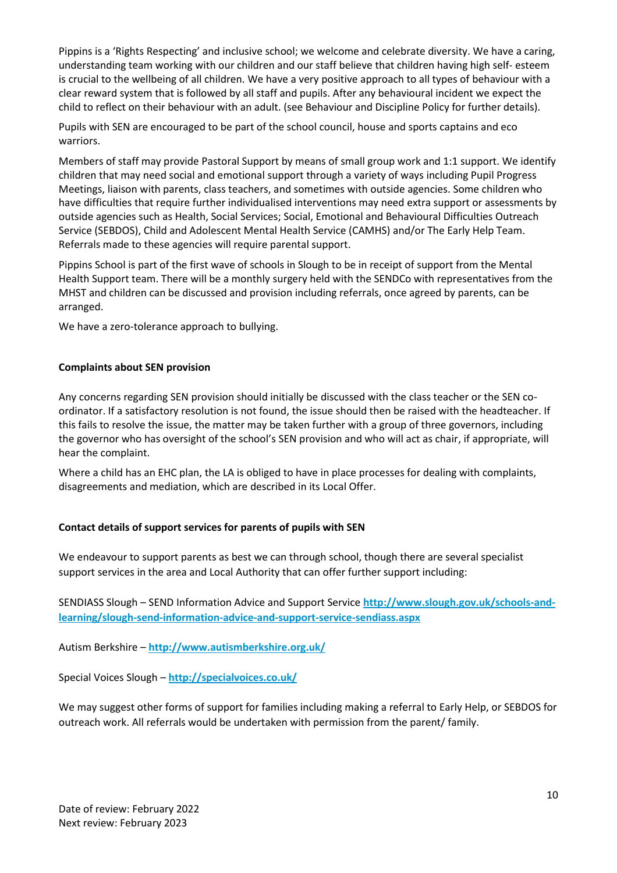Pippins is a 'Rights Respecting' and inclusive school; we welcome and celebrate diversity. We have a caring, understanding team working with our children and our staff believe that children having high self- esteem is crucial to the wellbeing of all children. We have a very positive approach to all types of behaviour with a clear reward system that is followed by all staff and pupils. After any behavioural incident we expect the child to reflect on their behaviour with an adult. (see Behaviour and Discipline Policy for further details).

Pupils with SEN are encouraged to be part of the school council, house and sports captains and eco warriors.

Members of staff may provide Pastoral Support by means of small group work and 1:1 support. We identify children that may need social and emotional support through a variety of ways including Pupil Progress Meetings, liaison with parents, class teachers, and sometimes with outside agencies. Some children who have difficulties that require further individualised interventions may need extra support or assessments by outside agencies such as Health, Social Services; Social, Emotional and Behavioural Difficulties Outreach Service (SEBDOS), Child and Adolescent Mental Health Service (CAMHS) and/or The Early Help Team. Referrals made to these agencies will require parental support.

Pippins School is part of the first wave of schools in Slough to be in receipt of support from the Mental Health Support team. There will be a monthly surgery held with the SENDCo with representatives from the MHST and children can be discussed and provision including referrals, once agreed by parents, can be arranged.

We have a zero-tolerance approach to bullying.

# **Complaints about SEN provision**

Any concerns regarding SEN provision should initially be discussed with the class teacher or the SEN coordinator. If a satisfactory resolution is not found, the issue should then be raised with the headteacher. If this fails to resolve the issue, the matter may be taken further with a group of three governors, including the governor who has oversight of the school's SEN provision and who will act as chair, if appropriate, will hear the complaint.

Where a child has an EHC plan, the LA is obliged to have in place processes for dealing with complaints, disagreements and mediation, which are described in its Local Offer.

# **Contact details of support services for parents of pupils with SEN**

We endeavour to support parents as best we can through school, though there are several specialist support services in the area and Local Authority that can offer further support including:

SENDIASS Slough – SEND Information Advice and Support Service **[http://www.slough.gov.uk/schools-and](http://www.slough.gov.uk/schools-and-learning/slough-send-information-advice-and-support-service-sendiass.aspx)[learning/slough-send-information-advice-and-support-service-sendiass.aspx](http://www.slough.gov.uk/schools-and-learning/slough-send-information-advice-and-support-service-sendiass.aspx)**

Autism Berkshire – **<http://www.autismberkshire.org.uk/>**

Special Voices Slough – **<http://specialvoices.co.uk/>**

We may suggest other forms of support for families including making a referral to Early Help, or SEBDOS for outreach work. All referrals would be undertaken with permission from the parent/ family.